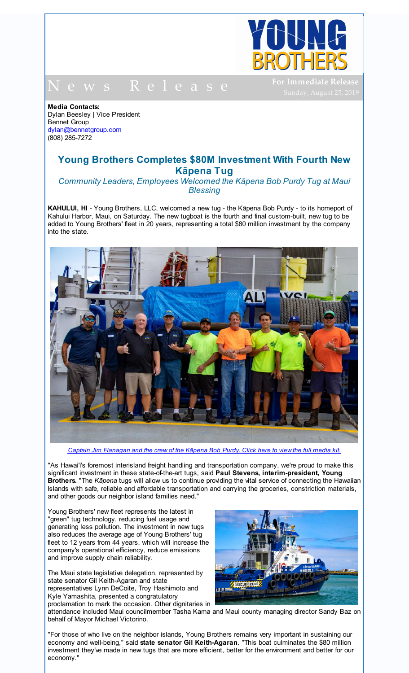

N e w s R e l e a s e

**For Immediate Release**

**Media Contacts:** Dylan Beesley | Vice President Bennet Group dylan@bennetgroup.com (808) 285-7272

## **Young Brothers Completes \$80M Investment With Fourth New Kāpena Tug**

*Community Leaders, Employees Welcomed the Kāpena Bob Purdy Tug at Maui Blessing*

**KAHULUI, HI** - Young Brothers, LLC, welcomed a new tug - the Kāpena Bob Purdy - to its homeport of Kahului Harbor, Maui, on Saturday. The new tugboat is the fourth and final custom-built, new tug to be added to Young Brothers' fleet in 20 years, representing a total \$80 million investment by the company into the state.



Captain Jim [Flanagan](http://r20.rs6.net/tn.jsp?f=001fNKDZytAZzlLWKkMElQINcQ5eiwLGOcBB7NnlZwpc-2ZXY6T9Ot3Kki3u923pfcD-amVr-87Teb7xyqc55emHhcZ1I60cayoHQfyUt9GBLWbAf_imjne6ic2OxtabuqxVfARAF0iXu3LcB5OwL3MUxn1eqMMMLNSo0u1rcNsUcg7WnhbuqVtLrUJIxMg5vz1yPoyRuuA_ihWUnYA7V2iTxD7eYJUZkfdgdGdjEapg9I=&c=&ch=) and the crew of the Kāpena Bob Purdy. Click here to view the full media kit.

"As Hawai'i's foremost interisland freight handling and transportation company, we're proud to make this significant investment in these state-of-the-art tugs, said **Paul Stevens, interim-president, Young Brothers.** "The *Kāpena* tugs will allow us to continue providing the vital service of connecting the Hawaiian Islands with safe, reliable and affordable transportation and carrying the groceries, constriction materials, and other goods our neighbor island families need."

Young Brothers' new fleet represents the latest in "green" tug technology, reducing fuel usage and generating less pollution. The investment in new tugs also reduces the average age of Young Brothers' tug fleet to 12 years from 44 years, which will increase the company's operational efficiency, reduce emissions and improve supply chain reliability.

The Maui state legislative delegation, represented by state senator Gil Keith-Agaran and state representatives Lynn DeCoite, Troy Hashimoto and Kyle Yamashita, presented a congratulatory proclamation to mark the occasion. Other dignitaries in



attendance included Maui councilmember Tasha Kama and Maui county managing director Sandy Baz on behalf of Mayor Michael Victorino.

"For those of who live on the neighbor islands, Young Brothers remains very important in sustaining our economy and well-being," said **state senator Gil Keith-Agaran**. "This boat culminates the \$80 million investment they've made in new tugs that are more efficient, better for the environment and better for our economy."